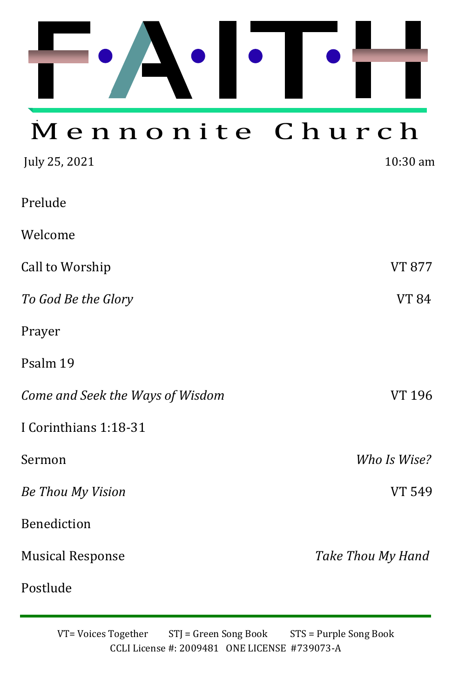

# Mennonite Church

| July 25, 2021                    | $10:30$ am        |
|----------------------------------|-------------------|
| Prelude                          |                   |
| Welcome                          |                   |
| Call to Worship                  | <b>VT 877</b>     |
| To God Be the Glory              | <b>VT 84</b>      |
| Prayer                           |                   |
| Psalm 19                         |                   |
| Come and Seek the Ways of Wisdom | <b>VT 196</b>     |
| I Corinthians 1:18-31            |                   |
| Sermon                           | Who Is Wise?      |
| <b>Be Thou My Vision</b>         | <b>VT 549</b>     |
| Benediction                      |                   |
| <b>Musical Response</b>          | Take Thou My Hand |
| Postlude                         |                   |

VT= Voices Together STJ = Green Song Book STS = Purple Song Book CCLI License #: 2009481 ONE LICENSE #739073-A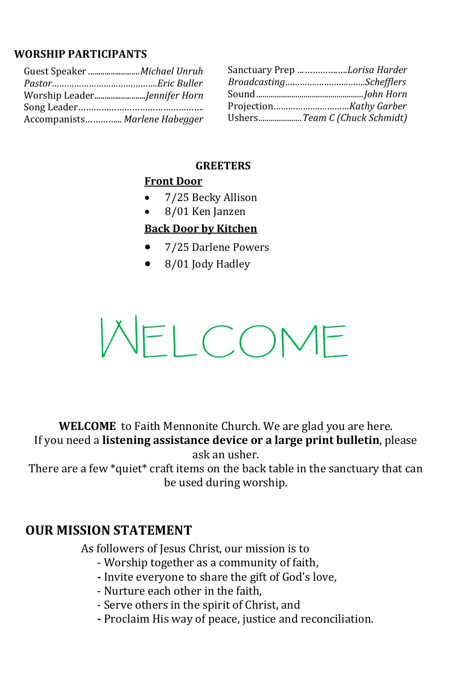### **WORSHIP PARTICIPANTS**

|                               |  | Sanctuary Prep <i>Lorisa Harder</i> |
|-------------------------------|--|-------------------------------------|
|                               |  |                                     |
| Worship LeaderJennifer Horn   |  |                                     |
|                               |  |                                     |
| Accompanists Marlene Habegger |  |                                     |

#### *Broadcasting………….………….…….Schefflers* Sound*....................................................John Horn* Projection*……………….…………Kathy Garber* Ushers*.....................Team C (Chuck Schmidt)*

### **GREETERS**

### **Front Door**

- 7/25 Becky Allison
- 8/01 Ken Janzen

### **Back Door by Kitchen**

- 7/25 Darlene Powers
- 8/01 Jody Hadley

# WELCOME

**WELCOME** to Faith Mennonite Church. We are glad you are here. If you need a **listening assistance device or a large print bulletin**, please ask an usher.

There are a few \*quiet\* craft items on the back table in the sanctuary that can be used during worship.

### **OUR MISSION STATEMENT**

As followers of Jesus Christ, our mission is to

- Worship together as a community of faith,
- **-** Invite everyone to share the gift of God's love,
- Nurture each other in the faith,
- Serve others in the spirit of Christ, and
- **-** Proclaim His way of peace, justice and reconciliation.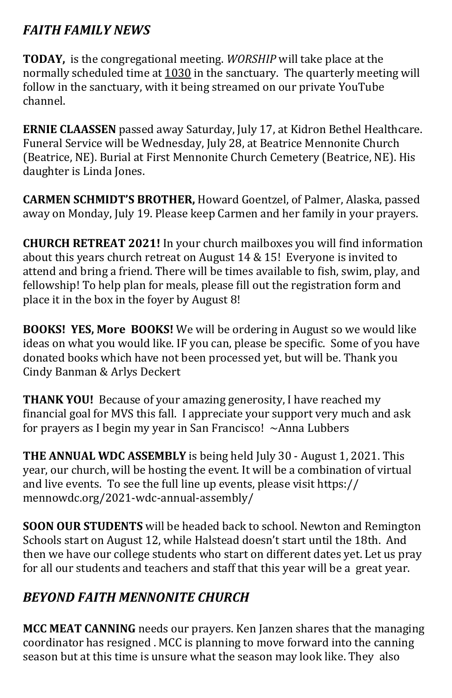# *FAITH FAMILY NEWS*

**TODAY,** is the congregational meeting. *WORSHIP* will take place at the normally scheduled time at 1030 in the sanctuary. The quarterly meeting will follow in the sanctuary, with it being streamed on our private YouTube channel.

**ERNIE CLAASSEN** passed away Saturday, July 17, at Kidron Bethel Healthcare. Funeral Service will be Wednesday, July 28, at Beatrice Mennonite Church (Beatrice, NE). Burial at First Mennonite Church Cemetery (Beatrice, NE). His daughter is Linda Jones.

**CARMEN SCHMIDT'S BROTHER,** Howard Goentzel, of Palmer, Alaska, passed away on Monday, July 19. Please keep Carmen and her family in your prayers.

**CHURCH RETREAT 2021!** In your church mailboxes you will find information about this years church retreat on August 14 & 15! Everyone is invited to attend and bring a friend. There will be times available to fish, swim, play, and fellowship! To help plan for meals, please fill out the registration form and place it in the box in the foyer by August 8!

**BOOKS! YES, More BOOKS!** We will be ordering in August so we would like ideas on what you would like. IF you can, please be specific. Some of you have donated books which have not been processed yet, but will be. Thank you Cindy Banman & Arlys Deckert

**THANK YOU!** Because of your amazing generosity, I have reached my financial goal for MVS this fall. I appreciate your support very much and ask for prayers as I begin my year in San Francisco! ~Anna Lubbers

**THE ANNUAL WDC ASSEMBLY** is being held July 30 - August 1, 2021. This year, our church, will be hosting the event. It will be a combination of virtual and live events. To see the full line up events, please visit https:// mennowdc.org/2021-wdc-annual-assembly/

**SOON OUR STUDENTS** will be headed back to school. Newton and Remington Schools start on August 12, while Halstead doesn't start until the 18th. And then we have our college students who start on different dates yet. Let us pray for all our students and teachers and staff that this year will be a great year.

### *BEYOND FAITH MENNONITE CHURCH*

**MCC MEAT CANNING** needs our prayers. Ken Janzen shares that the managing coordinator has resigned . MCC is planning to move forward into the canning season but at this time is unsure what the season may look like. They also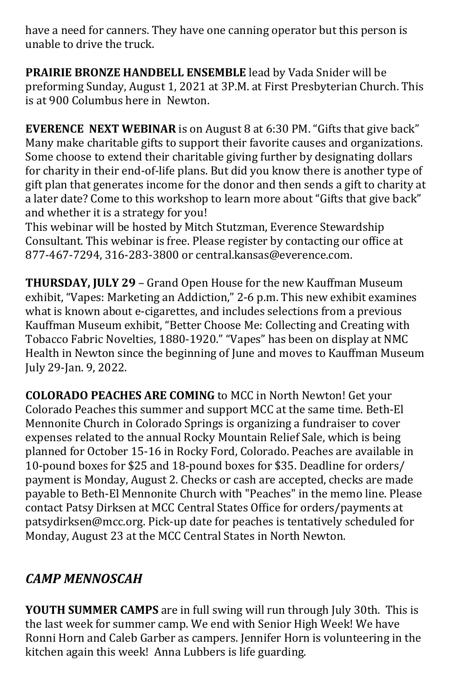have a need for canners. They have one canning operator but this person is unable to drive the truck.

**PRAIRIE BRONZE HANDBELL ENSEMBLE** lead by Vada Snider will be preforming Sunday, August 1, 2021 at 3P.M. at First Presbyterian Church. This is at 900 Columbus here in Newton.

**EVERENCE NEXT WEBINAR** is on August 8 at 6:30 PM. "Gifts that give back" Many make charitable gifts to support their favorite causes and organizations. Some choose to extend their charitable giving further by designating dollars for charity in their end-of-life plans. But did you know there is another type of gift plan that generates income for the donor and then sends a gift to charity at a later date? Come to this workshop to learn more about "Gifts that give back" and whether it is a strategy for you!

This webinar will be hosted by Mitch Stutzman, Everence Stewardship Consultant. This webinar is free. Please register by contacting our office at 877-467-7294, 316-283-3800 or [central.kansas@everence.com.](mailto:central.kansas@everence.com)

**THURSDAY, JULY 29** – Grand Open House for the new Kauffman Museum exhibit, "Vapes: Marketing an Addiction," 2-6 p.m. This new exhibit examines what is known about e-cigarettes, and includes selections from a previous Kauffman Museum exhibit, "Better Choose Me: Collecting and Creating with Tobacco Fabric Novelties, 1880-1920." "Vapes" has been on display at NMC Health in Newton since the beginning of June and moves to Kauffman Museum July 29-Jan. 9, 2022.

**COLORADO PEACHES ARE COMING** to MCC in North Newton! Get your Colorado Peaches this summer and support MCC at the same time. Beth-El Mennonite Church in Colorado Springs is organizing a fundraiser to cover expenses related to the annual Rocky Mountain Relief Sale, which is being planned for October 15-16 in Rocky Ford, Colorado. Peaches are available in 10-pound boxes for \$25 and 18-pound boxes for \$35. Deadline for orders/ payment is Monday, August 2. Checks or cash are accepted, checks are made payable to Beth-El Mennonite Church with "Peaches" in the memo line. Please contact Patsy Dirksen at MCC Central States Office for orders/payments at [patsydirksen@mcc.org.](mailto:patsydirksen@mcc.org) Pick-up date for peaches is tentatively scheduled for Monday, August 23 at the MCC Central States in North Newton.

# *CAMP MENNOSCAH*

**YOUTH SUMMER CAMPS** are in full swing will run through July 30th. This is the last week for summer camp. We end with Senior High Week! We have Ronni Horn and Caleb Garber as campers. Jennifer Horn is volunteering in the kitchen again this week! Anna Lubbers is life guarding.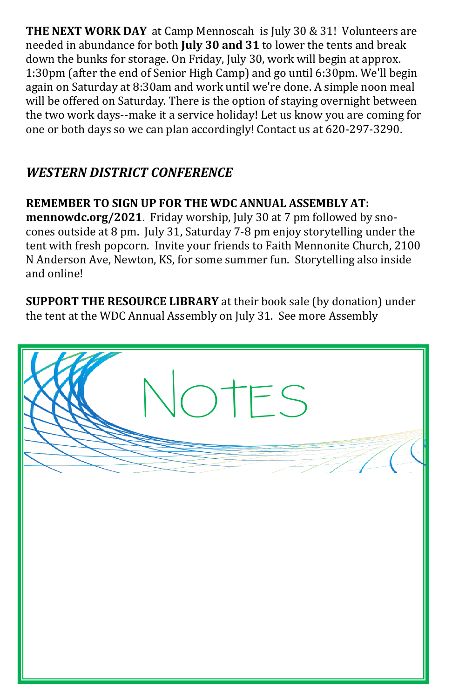**THE NEXT WORK DAY** at Camp Mennoscah is July 30 & 31! Volunteers are needed in abundance for both **July 30 and 31** to lower the tents and break down the bunks for storage. On Friday, July 30, work will begin at approx. 1:30pm (after the end of Senior High Camp) and go until 6:30pm. We'll begin again on Saturday at 8:30am and work until we're done. A simple noon meal will be offered on Saturday. There is the option of staying overnight between the two work days--make it a service holiday! Let us know you are coming for one or both days so we can plan accordingly! Contact us at 620-297-3290.

## *WESTERN DISTRICT CONFERENCE*

**REMEMBER TO SIGN UP FOR THE WDC ANNUAL ASSEMBLY AT: mennowdc.org/2021**. Friday worship, July 30 at 7 pm followed by snocones outside at 8 pm. July 31, Saturday 7-8 pm enjoy storytelling under the tent with fresh popcorn. Invite your friends to Faith Mennonite Church, 2100 N Anderson Ave, Newton, KS, for some summer fun. Storytelling also inside and online!

**SUPPORT THE RESOURCE LIBRARY** at their book sale (by donation) under the tent at the WDC Annual Assembly on July 31. See more Assembly